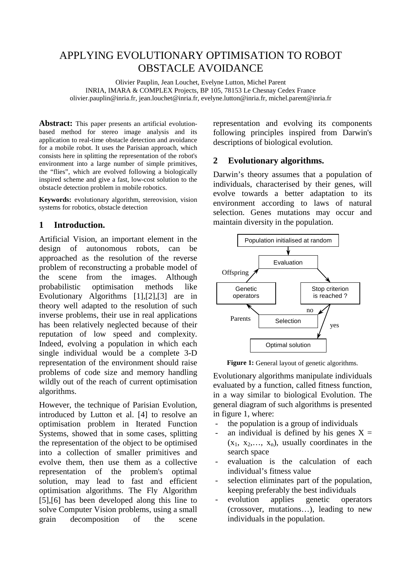# APPLYING EVOLUTIONARY OPTIMISATION TO ROBOT OBSTACLE AVOIDANCE

Olivier Pauplin, Jean Louchet, Evelyne Lutton, Michel Parent INRIA, IMARA & COMPLEX Projects, BP 105, 78153 Le Chesnay Cedex France olivier.pauplin@inria.fr, jean.louchet@inria.fr, evelyne.lutton@inria.fr, michel.parent@inria.fr

**Abstract:** This paper presents an artificial evolutionbased method for stereo image analysis and its application to real-time obstacle detection and avoidance for a mobile robot. It uses the Parisian approach, which consists here in splitting the representation of the robot's environment into a large number of simple primitives, the "flies", which are evolved following a biologically inspired scheme and give a fast, low-cost solution to the obstacle detection problem in mobile robotics.

**Keywords:** evolutionary algorithm, stereovision, vision systems for robotics, obstacle detection

# **1 Introduction.**

Artificial Vision, an important element in the design of autonomous robots, can be approached as the resolution of the reverse problem of reconstructing a probable model of the scene from the images. Although probabilistic optimisation methods like Evolutionary Algorithms [1],[2],[3] are in theory well adapted to the resolution of such inverse problems, their use in real applications has been relatively neglected because of their reputation of low speed and complexity. Indeed, evolving a population in which each single individual would be a complete 3-D representation of the environment should raise problems of code size and memory handling wildly out of the reach of current optimisation algorithms.

However, the technique of Parisian Evolution, introduced by Lutton et al. [4] to resolve an optimisation problem in Iterated Function Systems, showed that in some cases, splitting the representation of the object to be optimised into a collection of smaller primitives and evolve them, then use them as a collective representation of the problem's optimal solution, may lead to fast and efficient optimisation algorithms. The Fly Algorithm [5],[6] has been developed along this line to solve Computer Vision problems, using a small grain decomposition of the scene

representation and evolving its components following principles inspired from Darwin's descriptions of biological evolution.

## **2 Evolutionary algorithms.**

Darwin's theory assumes that a population of individuals, characterised by their genes, will evolve towards a better adaptation to its environment according to laws of natural selection. Genes mutations may occur and maintain diversity in the population.



**Figure 1:** General layout of genetic algorithms.

Evolutionary algorithms manipulate individuals evaluated by a function, called fitness function, in a way similar to biological Evolution. The general diagram of such algorithms is presented in figure 1, where:

- the population is a group of individuals
- an individual is defined by his genes  $X =$  $(x_1, x_2,..., x_n)$ , usually coordinates in the search space
- evaluation is the calculation of each individual's fitness value
- selection eliminates part of the population, keeping preferably the best individuals
- evolution applies genetic operators (crossover, mutations…), leading to new individuals in the population.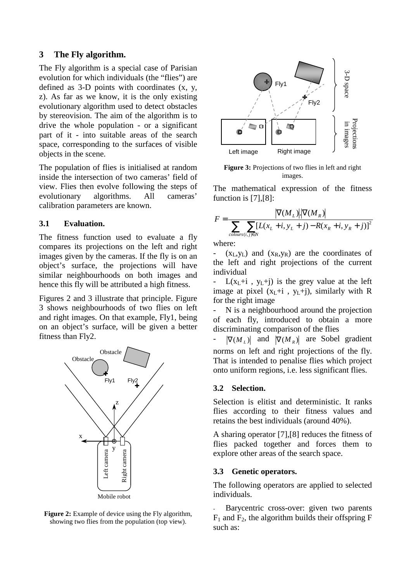#### **3 The Fly algorithm.**

The Fly algorithm is a special case of Parisian evolution for which individuals (the "flies") are defined as 3-D points with coordinates (x, y, z). As far as we know, it is the only existing evolutionary algorithm used to detect obstacles by stereovision. The aim of the algorithm is to drive the whole population - or a significant part of it - into suitable areas of the search space, corresponding to the surfaces of visible objects in the scene.

The population of flies is initialised at random inside the intersection of two cameras' field of view. Flies then evolve following the steps of evolutionary algorithms. All cameras' calibration parameters are known.

#### **3.1 Evaluation.**

The fitness function used to evaluate a fly compares its projections on the left and right images given by the cameras. If the fly is on an object's surface, the projections will have similar neighbourhoods on both images and hence this fly will be attributed a high fitness.

Figures 2 and 3 illustrate that principle. Figure 3 shows neighbourhoods of two flies on left and right images. On that example, Fly1, being on an object's surface, will be given a better fitness than Fly2.



**Figure 2:** Example of device using the Fly algorithm. showing two flies from the population (top view).



Figure 3: Projections of two flies in left and right images.

The mathematical expression of the fitness function is [7],[8]:

$$
F = \frac{|\nabla(M_L)| |\nabla(M_R)|}{\sum_{\text{colours}(i,j)\in N} [L(x_L+i, y_L+j) - R(x_R+i, y_R+j)]^2}
$$

where:

-  $(x_L, y_L)$  and  $(x_R, y_R)$  are the coordinates of the left and right projections of the current individual

 $L(x_L+i, y_L+i)$  is the grey value at the left image at pixel  $(x_L+i, y_L+j)$ , similarly with R for the right image

N is a neighbourhood around the projection of each fly, introduced to obtain a more discriminating comparison of the flies

 $|\nabla (M_L)|$  and  $|\nabla (M_R)|$  are Sobel gradient norms on left and right projections of the fly. That is intended to penalise flies which project onto uniform regions, i.e. less significant flies.

#### **3.2 Selection.**

Selection is elitist and deterministic. It ranks flies according to their fitness values and retains the best individuals (around 40%).

A sharing operator [7],[8] reduces the fitness of flies packed together and forces them to explore other areas of the search space.

#### **3.3 Genetic operators.**

The following operators are applied to selected individuals.

Barycentric cross-over: given two parents  $F_1$  and  $F_2$ , the algorithm builds their offspring F such as: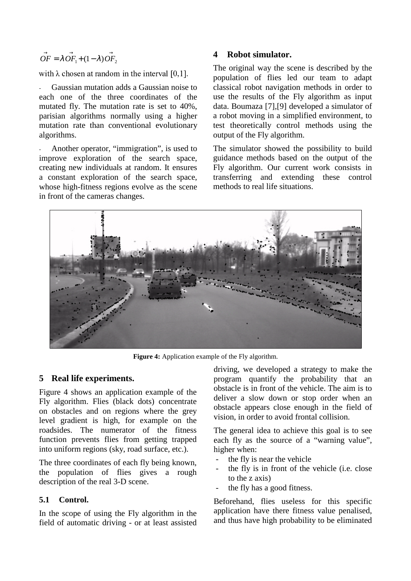$$
\overrightarrow{OF} = \lambda \overrightarrow{OF_1} + (1 - \lambda) \overrightarrow{OF_2}
$$

rrith i okocos ot sosadiosa is the istory of HIII.

- Gaussian mutation adds a Gaussian noise to each one of the three coordinates of the mutated fly. The mutation rate is set to 40%, parisian algorithms normally using a higher mutation rate than conventional evolutionary algorithms.

Another operator, "immigration", is used to improve exploration of the search space, creating new individuals at random. It ensures a constant exploration of the search space, whose high-fitness regions evolve as the scene in front of the cameras changes.

#### **4 Robot simulator.**

The original way the scene is described by the population of flies led our team to adapt classical robot navigation methods in order to use the results of the Fly algorithm as input data. Boumaza [7],[9] developed a simulator of a robot moving in a simplified environment, to test theoretically control methods using the output of the Fly algorithm.

The simulator showed the possibility to build guidance methods based on the output of the Fly algorithm. Our current work consists in transferring and extending these control methods to real life situations.



**Figure 4:** Application example of the Fly algorithm.

#### **5 Real life experiments.**

Figure 4 shows an application example of the Fly algorithm. Flies (black dots) concentrate on obstacles and on regions where the grey level gradient is high, for example on the roadsides. The numerator of the fitness function prevents flies from getting trapped into uniform regions (sky, road surface, etc.).

The three coordinates of each fly being known, the population of flies gives a rough description of the real 3-D scene.

#### **5.1 Control.**

In the scope of using the Fly algorithm in the field of automatic driving - or at least assisted driving, we developed a strategy to make the program quantify the probability that an obstacle is in front of the vehicle. The aim is to deliver a slow down or stop order when an obstacle appears close enough in the field of vision, in order to avoid frontal collision.

The general idea to achieve this goal is to see each fly as the source of a "warning value", higher when:

- the fly is near the vehicle
- the fly is in front of the vehicle (i.e. close to the z axis)
- the fly has a good fitness.

Beforehand, flies useless for this specific application have there fitness value penalised, and thus have high probability to be eliminated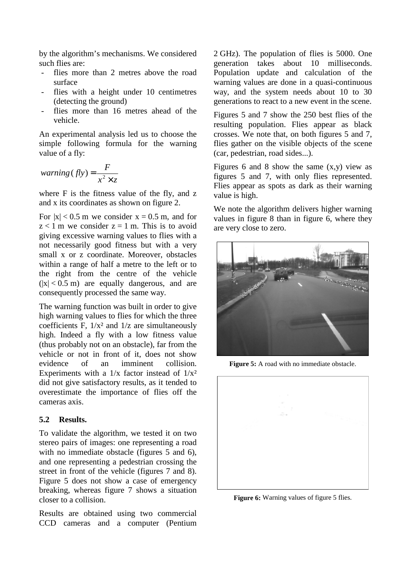by the algorithm's mechanisms. We considered such flies are:

- flies more than 2 metres above the road surface
- flies with a height under 10 centimetres (detecting the ground)
- flies more than 16 metres ahead of the vehicle.

An experimental analysis led us to choose the simple following formula for the warning value of a fly:

$$
warning(fly) = \frac{F}{x^2 \times z}
$$

where F is the fitness value of the fly, and z and x its coordinates as shown on figure 2.

For  $|x| < 0.5$  m we consider  $x = 0.5$  m, and for  $z < 1$  m we consider  $z = 1$  m. This is to avoid giving excessive warning values to flies with a not necessarily good fitness but with a very small x or z coordinate. Moreover, obstacles within a range of half a metre to the left or to the right from the centre of the vehicle  $(|x| < 0.5$  m) are equally dangerous, and are consequently processed the same way.

The warning function was built in order to give high warning values to flies for which the three coefficients F,  $1/x^2$  and  $1/z$  are simultaneously high. Indeed a fly with a low fitness value (thus probably not on an obstacle), far from the vehicle or not in front of it, does not show evidence of an imminent collision. Experiments with a  $1/x$  factor instead of  $1/x^2$ did not give satisfactory results, as it tended to overestimate the importance of flies off the cameras axis.

#### **5.2 Results.**

To validate the algorithm, we tested it on two stereo pairs of images: one representing a road with no immediate obstacle (figures 5 and 6), and one representing a pedestrian crossing the street in front of the vehicle (figures 7 and 8). Figure 5 does not show a case of emergency breaking, whereas figure 7 shows a situation closer to a collision.

Results are obtained using two commercial CCD cameras and a computer (Pentium 2 GHz). The population of flies is 5000. One generation takes about 10 milliseconds. Population update and calculation of the warning values are done in a quasi-continuous way, and the system needs about 10 to 30 generations to react to a new event in the scene.

Figures 5 and 7 show the 250 best flies of the resulting population. Flies appear as black crosses. We note that, on both figures 5 and 7, flies gather on the visible objects of the scene (car, pedestrian, road sides...).

Figures 6 and 8 show the same  $(x,y)$  view as figures 5 and 7, with only flies represented. Flies appear as spots as dark as their warning value is high.

We note the algorithm delivers higher warning values in figure 8 than in figure 6, where they are very close to zero.



**Figure 5:** A road with no immediate obstacle.



**Figure 6:** Warning values of figure 5 flies.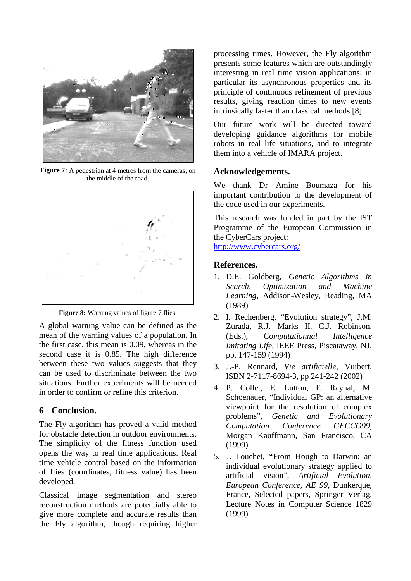

**Figure 7:** A pedestrian at 4 metres from the cameras, on the middle of the road.



Figure 8: Warning values of figure 7 flies.

A global warning value can be defined as the mean of the warning values of a population. In the first case, this mean is 0.09, whereas in the second case it is 0.85. The high difference between these two values suggests that they can be used to discriminate between the two situations. Further experiments will be needed in order to confirm or refine this criterion.

# **6 Conclusion.**

The Fly algorithm has proved a valid method for obstacle detection in outdoor environments. The simplicity of the fitness function used opens the way to real time applications. Real time vehicle control based on the information of flies (coordinates, fitness value) has been developed.

Classical image segmentation and stereo reconstruction methods are potentially able to give more complete and accurate results than the Fly algorithm, though requiring higher

processing times. However, the Fly algorithm presents some features which are outstandingly interesting in real time vision applications: in particular its asynchronous properties and its principle of continuous refinement of previous results, giving reaction times to new events intrinsically faster than classical methods [8].

Our future work will be directed toward developing guidance algorithms for mobile robots in real life situations, and to integrate them into a vehicle of IMARA project.

# **Acknowledgements.**

We thank Dr Amine Boumaza for his important contribution to the development of the code used in our experiments.

This research was funded in part by the IST Programme of the European Commission in the CyberCars project:

http://www.cybercars.org/

## **References.**

- 1. D.E. Goldberg, *Genetic Algorithms in Search, Optimization and Machine Learning*, Addison-Wesley, Reading, MA (1989)
- 2. I. Rechenberg, "Evolution strategy", J.M. Zurada, R.J. Marks II, C.J. Robinson, (Eds.), *Computationnal Intelligence Imitating Life,* IEEE Press, Piscataway, NJ, pp. 147-159 (1994)
- 3. J.-P. Rennard, *Vie artificielle*, Vuibert, ISBN 2-7117-8694-3, pp 241-242 (2002)
- 4. P. Collet, E. Lutton, F. Raynal, M. Schoenauer, "Individual GP: an alternative viewpoint for the resolution of complex problems", *Genetic and Evolutionary Computation Conference GECCO99*, Morgan Kauffmann, San Francisco, CA (1999)
- 5. J. Louchet, "From Hough to Darwin: an individual evolutionary strategy applied to artificial vision", *Artificial Evolution, European Conference, AE 99,* Dunkerque, France, Selected papers, Springer Verlag, Lecture Notes in Computer Science 1829 (1999)